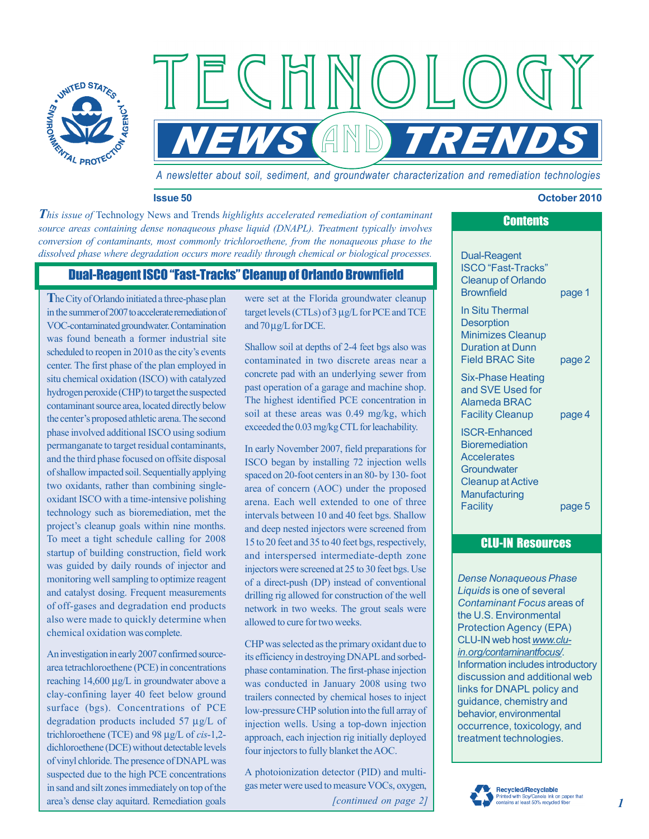

*A newsletter about soil, sediment, and groundwater characterization and remediation technologies* 

 $\left(\begin{array}{c} \end{array}\right)$ 

*EWS AND TRENT* 

## **Issue 50 October 2010**

*This issue of* Technology News and Trends *highlights accelerated remediation of contaminant source areas containing dense nonaqueous phase liquid (DNAPL). Treatment typically involves conversion of contaminants, most commonly trichloroethene, from the nonaqueous phase to the dissolved phase where degradation occurs more readily through chemical or biological processes.* 

 $ECHM$ 

# Dual-Reagent ISCO "Fast-Tracks" Cleanup of Orlando Brownfield

**T**he City of Orlando initiated a three-phase plan in the summer of 2007 to accelerate remediation of VOC-contaminated groundwater. Contamination was found beneath a former industrial site scheduled to reopen in 2010 as the city's events center. The first phase of the plan employed in situ chemical oxidation (ISCO) with catalyzed hydrogen peroxide (CHP) to target the suspected contaminant source area, located directly below the center's proposed athletic arena. The second phase involved additional ISCO using sodium permanganate to target residual contaminants, and the third phase focused on offsite disposal of shallow impacted soil. Sequentially applying two oxidants, rather than combining singleoxidant ISCO with a time-intensive polishing technology such as bioremediation, met the project's cleanup goals within nine months. To meet a tight schedule calling for 2008 startup of building construction, field work was guided by daily rounds of injector and monitoring well sampling to optimize reagent and catalyst dosing. Frequent measurements of off-gases and degradation end products also were made to quickly determine when chemical oxidation was complete.

An investigation in early 2007 confirmed sourcearea tetrachloroethene (PCE) in concentrations reaching 14,600 μg/L in groundwater above a clay-confining layer 40 feet below ground surface (bgs). Concentrations of PCE degradation products included 57 μg/L of trichloroethene (TCE) and 98 μg/L of *cis*-1,2 dichloroethene (DCE) without detectable levels of vinyl chloride. The presence of DNAPL was suspected due to the high PCE concentrations area's dense clay aquitard. Remediation goals in sand and silt zones immediately on top of the

were set at the Florida groundwater cleanup target levels (CTLs) of 3 μg/L for PCE and TCE and 70 μg/L for DCE.

Shallow soil at depths of 2-4 feet bgs also was contaminated in two discrete areas near a concrete pad with an underlying sewer from past operation of a garage and machine shop. The highest identified PCE concentration in soil at these areas was 0.49 mg/kg, which exceeded the 0.03 mg/kg CTL for leachability.

In early November 2007, field preparations for ISCO began by installing 72 injection wells spaced on 20-foot centers in an 80- by 130- foot area of concern (AOC) under the proposed arena. Each well extended to one of three intervals between 10 and 40 feet bgs. Shallow and deep nested injectors were screened from 15 to 20 feet and 35 to 40 feet bgs, respectively, and interspersed intermediate-depth zone injectors were screened at 25 to 30 feet bgs. Use of a direct-push (DP) instead of conventional drilling rig allowed for construction of the well network in two weeks. The grout seals were allowed to cure for two weeks.

CHP was selected as the primary oxidant due to its efficiency in destroying DNAPL and sorbedphase contamination. The first-phase injection was conducted in January 2008 using two trailers connected by chemical hoses to inject low-pressure CHP solution into the full array of injection wells. Using a top-down injection approach, each injection rig initially deployed four injectors to fully blanket the AOC.

*[continued on page 2]*  gas meter were used to measure VOCs, oxygen, A photoionization detector (PID) and multi-

| <b>Contents</b>           |        |  |
|---------------------------|--------|--|
| Dual-Reagent              |        |  |
| <b>ISCO</b> "Fast-Tracks" |        |  |
| <b>Cleanup of Orlando</b> |        |  |
| <b>Brownfield</b>         | page 1 |  |
| In Situ Thermal           |        |  |
| <b>Desorption</b>         |        |  |
| <b>Minimizes Cleanup</b>  |        |  |
| Duration at Dunn          |        |  |
| <b>Field BRAC Site</b>    | page 2 |  |
| Six-Phase Heating         |        |  |
| and SVE Used for          |        |  |
| <b>Alameda BRAC</b>       |        |  |
| <b>Facility Cleanup</b>   | page 4 |  |
| <b>ISCR-Enhanced</b>      |        |  |

**ISC Bioremediation Accelerates Groundwater** Cleanup at Active **Manufacturing** Facility page 5

# CLU-IN Resources

*Dense Nonaqueous Phase Liquids* is one of several *Contaminant Focus* areas of the U.S. Environmental Protection Agency (EPA) CLU-IN web host *www.cluin.org/contaminantfocus/*. Information includes introductory discussion and additional web links for DNAPL policy and guidance, chemistry and behavior, environmental occurrence, toxicology, and treatment technologies.



## *1*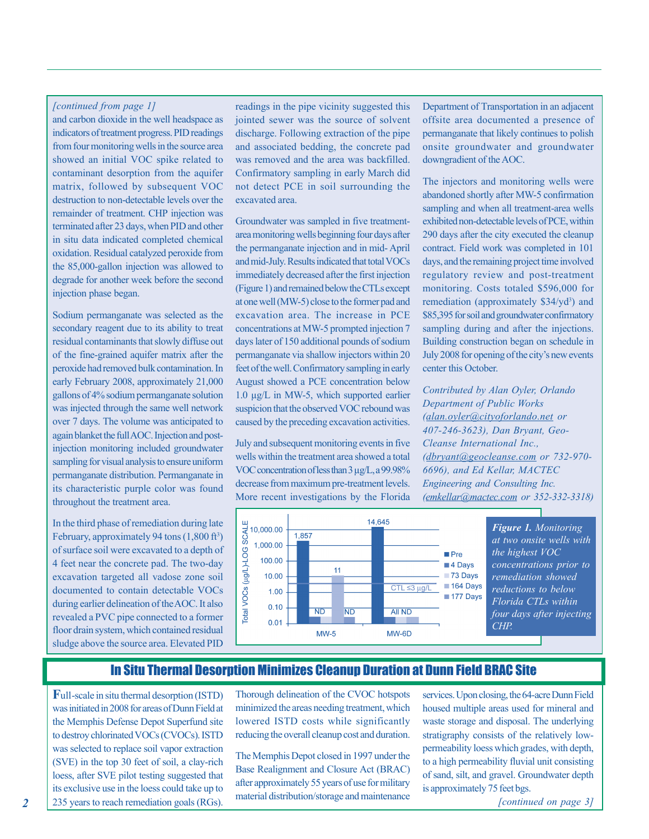## *[continued from page 1]*

and carbon dioxide in the well headspace as indicators of treatment progress. PID readings from four monitoring wells in the source area showed an initial VOC spike related to contaminant desorption from the aquifer matrix, followed by subsequent VOC destruction to non-detectable levels over the remainder of treatment. CHP injection was terminated after 23 days, when PID and other in situ data indicated completed chemical oxidation. Residual catalyzed peroxide from the 85,000-gallon injection was allowed to degrade for another week before the second injection phase began.

Sodium permanganate was selected as the secondary reagent due to its ability to treat residual contaminants that slowly diffuse out of the fine-grained aquifer matrix after the peroxide had removed bulk contamination. In early February 2008, approximately 21,000 gallons of 4% sodium permanganate solution was injected through the same well network over 7 days. The volume was anticipated to again blanket the full AOC. Injection and postinjection monitoring included groundwater sampling for visual analysis to ensure uniform permanganate distribution. Permanganate in its characteristic purple color was found throughout the treatment area.

In the third phase of remediation during late February, approximately 94 tons  $(1,800 \text{ ft}^3)$ of surface soil were excavated to a depth of 4 feet near the concrete pad. The two-day excavation targeted all vadose zone soil documented to contain detectable VOCs during earlier delineation of the AOC. It also revealed a PVC pipe connected to a former floor drain system, which contained residual sludge above the source area. Elevated PID

readings in the pipe vicinity suggested this jointed sewer was the source of solvent discharge. Following extraction of the pipe and associated bedding, the concrete pad was removed and the area was backfilled. Confirmatory sampling in early March did not detect PCE in soil surrounding the excavated area.

Groundwater was sampled in five treatmentarea monitoring wells beginning four days after the permanganate injection and in mid- April and mid-July. Results indicated that total VOCs immediately decreased after the first injection (Figure 1) and remained below the CTLs except at one well (MW-5) close to the former pad and excavation area. The increase in PCE concentrations at MW-5 prompted injection 7 days later of 150 additional pounds of sodium permanganate via shallow injectors within 20 feet of the well. Confirmatory sampling in early August showed a PCE concentration below 1.0 µg/L in MW-5, which supported earlier suspicion that the observed VOC rebound was caused by the preceding excavation activities.

July and subsequent monitoring events in five wells within the treatment area showed a total VOC concentration of less than 3 µg/L, a 99.98% decrease from maximum pre-treatment levels. More recent investigations by the Florida

Department of Transportation in an adjacent offsite area documented a presence of permanganate that likely continues to polish onsite groundwater and groundwater downgradient of the AOC.

The injectors and monitoring wells were abandoned shortly after MW-5 confirmation sampling and when all treatment-area wells exhibited non-detectable levels of PCE, within 290 days after the city executed the cleanup contract. Field work was completed in 101 days, and the remaining project time involved regulatory review and post-treatment monitoring. Costs totaled \$596,000 for remediation (approximately \$34/yd<sup>3</sup>) and \$85,395 for soil and groundwater confirmatory sampling during and after the injections. Building construction began on schedule in July 2008 for opening of the city's new events center this October.

*Contributed by Alan Oyler, Orlando Department of Public Works [\(alan.oyler@cityoforlando.net](mailto:alan.oyler@cityoforlando.net) or 407-246-3623), Dan Bryant, Geo-Cleanse International Inc., [\(dbryant@geocleanse.com](mailto:dbryant@geocleanse.com) or 732-970 6696), and Ed Kellar, MACTEC Engineering and Consulting Inc. [\(emkellar@mactec.com](mailto:emkellar@mactec.com) or 352-332-3318)* 



# In Situ Thermal Desorption Minimizes Cleanup Duration at Dunn Field BRAC Site

**F**ull-scale in situ thermal desorption (ISTD) was initiated in 2008 for areas of Dunn Field at the Memphis Defense Depot Superfund site to destroy chlorinated VOCs (CVOCs). ISTD was selected to replace soil vapor extraction (SVE) in the top 30 feet of soil, a clay-rich loess, after SVE pilot testing suggested that its exclusive use in the loess could take up to 235 years to reach remediation goals (RGs).

Thorough delineation of the CVOC hotspots minimized the areas needing treatment, which lowered ISTD costs while significantly reducing the overall cleanup cost and duration.

The Memphis Depot closed in 1997 under the Base Realignment and Closure Act (BRAC) after approximately 55 years of use for military material distribution/storage and maintenance

services. Upon closing, the 64-acre Dunn Field housed multiple areas used for mineral and waste storage and disposal. The underlying stratigraphy consists of the relatively lowpermeability loess which grades, with depth, to a high permeability fluvial unit consisting of sand, silt, and gravel. Groundwater depth is approximately 75 feet bgs.

*[continued on page 3]*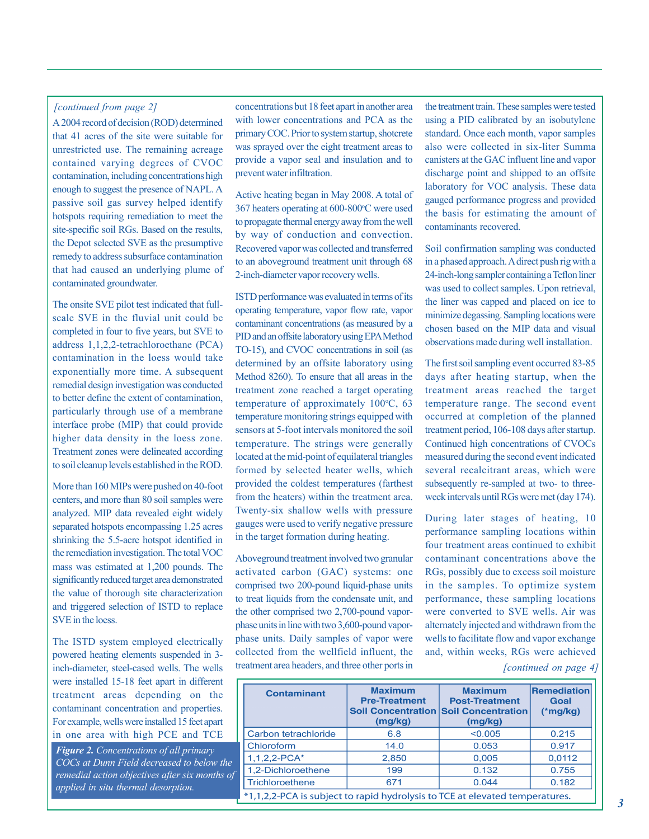analyzed. MIP data revealed eight widely<br>separated hotspots encompassing 1.25 acres and to verify negative pressure<br>shrinking the 5.5-acre hotspot identified in in the target formation during heating.<br>four treatment areas

were installed 15-18 feet apart in different treatment areas depending on the contaminant concentration and properties. For example, wells were installed 15 feet apart in one area with high PCE and TCE

*Figure 2. Concentrations of all primary COCs at Dunn Field decreased to below the remedial action objectives after six months of applied in situ thermal desorption.* 

*[continued from page 2]* concentrations but 18 feet apart in another area the treatment train. These samples were tested A 2004 record of decision (ROD) determined with lower concentrations and PCA as the using a PID calibrated by an isobutylene that 41 acres of the site were suitable for primary COC. Prior to system startup, shotcrete stand that 41 acres of the site were suitable for primary COC. Prior to system startup, shotcrete standard. Once each month, vapor samples unrestricted use. The remaining acreage was sprayed over the eight treatment areas to als unrestricted use. The remaining acreage was sprayed over the eight treatment areas to also were collected in six-liter Summa<br>contained varying degrees of CVOC provide a vapor seal and insulation and to canisters at the GAC provide a vapor seal and insulation and to canisters at the GAC influent line and vapor<br>contamination including concentrations high prevent water infiltration.

passive sointing remediation to meet the<br>the basis of restinanting the animal of the basis for estimating the amount of<br>site-specific soil RGs. Based on the results,<br>the Depot selected SVE as the presumptive by way of cond temperature of approximately 100°C, 63 temperature range. The second event<br>particularly through use of a membrane<br>interface probe (MIP) that could provide<br>higher data density in the loess zone.<br>Treatment zones were delinea More than 160 MIPs were pushed on 40-foot provided the coldest temperatures (farthest subsequently re-sampled at two- to three-<br>centers and more than 80 soil samples were from the heaters) within the treatment area. week i from the heaters) within the treatment area.<br>analyzed MIP data revealed eight widely. Twenty-six shallow wells with pressure

mass was estimated at 1,200 pounds. The<br>significantly reduced target area demonstrated<br>the value of thorough site characterization<br>the value of thorough site characterization<br>to treat liquids from the condensate unit, and<br> and ingerical selection of 151D to replace<br>SVE in the loess. phase units in line with two 3,600-pound vapor-<br>phase units in line with two 3,600-pound vapor-<br>alternately injected and withdrawn from the The ISTD system employed electrically phase units. Daily samples of vapor were wells to facilitate flow and vapor exchange<br>nowered heating elements suspended in 3-collected from the wellfield influent, the and, within week powered heating elements suspended in 3- collected from the wellfield influent, the inch-diameter, steel-cased wells. The wells treatment area headers, and three other ports in *[continued on page 4]* 

prevent water infiltration.<br>
discharge point and shipped to an offsite<br>
contamination, including concentrations high prevent water infiltration.<br>
laboratory for VOC analysis. These data enough to suggest the presence of NAPL. A<br>passive soil gas survey helped identify<br>hotspots requiring remediation to meet the<br>the means operating and solution of the basis for estimating the amount of<br>the basis for estimati

the remediation investigation. The total VOC Aboveground treatment involved two granular contaminant concentrations above the mass was estimated at 1.200 pounds. The

| <b>Contaminant</b>                                                           | <b>Maximum</b><br><b>Pre-Treatment</b><br>(mg/kg) | <b>Maximum</b><br><b>Post-Treatment</b><br><b>Soil Concentration Soil Concentration</b><br>(mg/kg) | <b>Remediation</b><br>Goal<br>$(*mg/kg)$ |
|------------------------------------------------------------------------------|---------------------------------------------------|----------------------------------------------------------------------------------------------------|------------------------------------------|
| <b>Carbon tetrachloride</b>                                                  | 6.8                                               | < 0.005                                                                                            | 0.215                                    |
| <b>Chloroform</b>                                                            | 14.0                                              | 0.053                                                                                              | 0.917                                    |
| $1,1,2,2$ -PCA*                                                              | 2,850                                             | 0,005                                                                                              | 0,0112                                   |
| 1,2-Dichloroethene                                                           | 199                                               | 0.132                                                                                              | 0.755                                    |
| Trichloroethene                                                              | 671                                               | 0.044                                                                                              | 0.182                                    |
| *1,1,2,2-PCA is subject to rapid hydrolysis to TCE at elevated temperatures. |                                                   |                                                                                                    |                                          |

I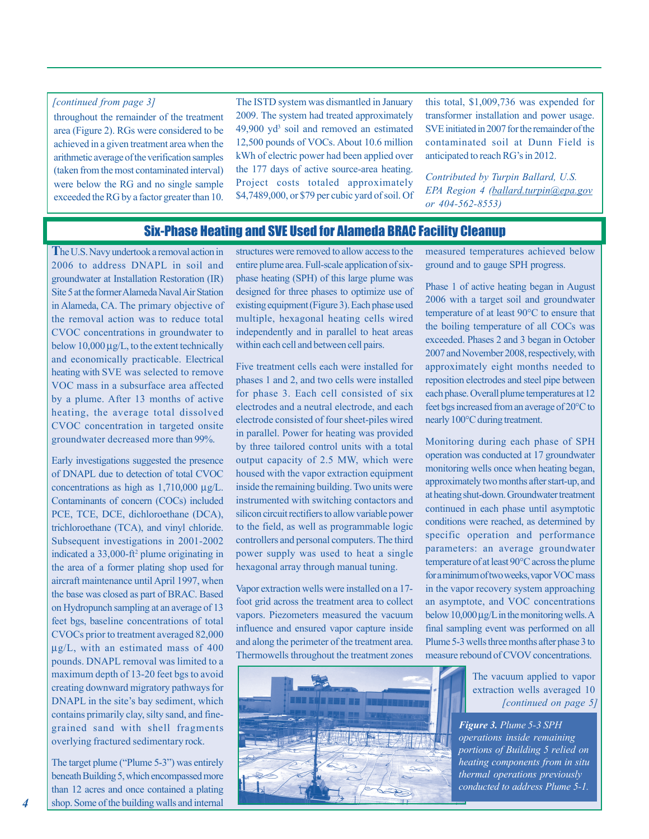*[continued from page 3]* The ISTD system was dismantled in January this total, \$1,009,736 was expended for throughout the remainder of the treatment 2009. The system had treated approximately transformer installation and power usage. area (Figure 2). RGs were considered to be  $49,900$  yd<sup>3</sup> soil and removed an estimated achieved in a given treatment area when the 12,500 pounds of VOCs. About 10.6 million contaminated soil at Dunn Field is arithmetic average of the verification samples kWh of electric power had been applied over anticipated to reach RG's in 2012. (taken from the most contaminated interval) the 177 days of active source-area heating.<br>were below the RG and no single sample Project costs totaled approximately<br>exceeded the RG by a factor greater than 10. \$4,7489,000,

SVE initiated in 2007 for the remainder of the

# Six-Phase Heating and SVE Used for Alameda BRAC Facility Cleanup

**T**he U.S. Navy undertook a removal action in 2006 to address DNAPL in soil and groundwater at Installation Restoration (IR) Site 5 at the former Alameda Naval Air Station in Alameda, CA. The primary objective of the removal action was to reduce total CVOC concentrations in groundwater to below 10,000 μg/L, to the extent technically and economically practicable. Electrical heating with SVE was selected to remove VOC mass in a subsurface area affected by a plume. After 13 months of active heating, the average total dissolved CVOC concentration in targeted onsite groundwater decreased more than 99%.

Early investigations suggested the presence of DNAPL due to detection of total CVOC concentrations as high as 1,710,000 μg/L. Contaminants of concern (COCs) included PCE, TCE, DCE, dichloroethane (DCA), trichloroethane (TCA), and vinyl chloride. Subsequent investigations in 2001-2002 indicated a  $33,000$ -ft<sup>2</sup> plume originating in the area of a former plating shop used for aircraft maintenance until April 1997, when the base was closed as part of BRAC. Based on Hydropunch sampling at an average of 13 feet bgs, baseline concentrations of total CVOCs prior to treatment averaged 82,000 μg/L, with an estimated mass of 400 pounds. DNAPL removal was limited to a maximum depth of 13-20 feet bgs to avoid creating downward migratory pathways for DNAPL in the site's bay sediment, which contains primarily clay, silty sand, and finegrained sand with shell fragments overlying fractured sedimentary rock.

The target plume ("Plume 5-3") was entirely beneath Building 5, which encompassed more than 12 acres and once contained a plating shop. Some of the building walls and internal

structures were removed to allow access to the entire plume area. Full-scale application of sixphase heating (SPH) of this large plume was designed for three phases to optimize use of existing equipment (Figure 3). Each phase used multiple, hexagonal heating cells wired independently and in parallel to heat areas within each cell and between cell pairs.

Five treatment cells each were installed for phases 1 and 2, and two cells were installed for phase 3. Each cell consisted of six electrodes and a neutral electrode, and each electrode consisted of four sheet-piles wired in parallel. Power for heating was provided by three tailored control units with a total output capacity of 2.5 MW, which were housed with the vapor extraction equipment inside the remaining building. Two units were instrumented with switching contactors and silicon circuit rectifiers to allow variable power to the field, as well as programmable logic controllers and personal computers. The third power supply was used to heat a single hexagonal array through manual tuning.

Vapor extraction wells were installed on a 17 foot grid across the treatment area to collect vapors. Piezometers measured the vacuum influence and ensured vapor capture inside and along the perimeter of the treatment area. Thermowells throughout the treatment zones

measured temperatures achieved below ground and to gauge SPH progress.

Phase 1 of active heating began in August 2006 with a target soil and groundwater temperature of at least 90°C to ensure that the boiling temperature of all COCs was exceeded. Phases 2 and 3 began in October 2007 and November 2008, respectively, with approximately eight months needed to reposition electrodes and steel pipe between each phase. Overall plume temperatures at 12 feet bgs increased from an average of 20°C to nearly 100°C during treatment.

Monitoring during each phase of SPH operation was conducted at 17 groundwater monitoring wells once when heating began, approximately two months after start-up, and at heating shut-down. Groundwater treatment continued in each phase until asymptotic conditions were reached, as determined by specific operation and performance parameters: an average groundwater temperature of at least 90°C across the plume for a minimum of two weeks, vapor VOC mass in the vapor recovery system approaching an asymptote, and VOC concentrations below  $10,000 \mu g/L$  in the monitoring wells. A final sampling event was performed on all Plume 5-3 wells three months after phase 3 to measure rebound of CVOV concentrations.



*Figure 3. Plume 5-3 SPH operations inside remaining portions of Building 5 relied on heating components from in situ thermal operations previously conducted to address Plume 5-1.* 

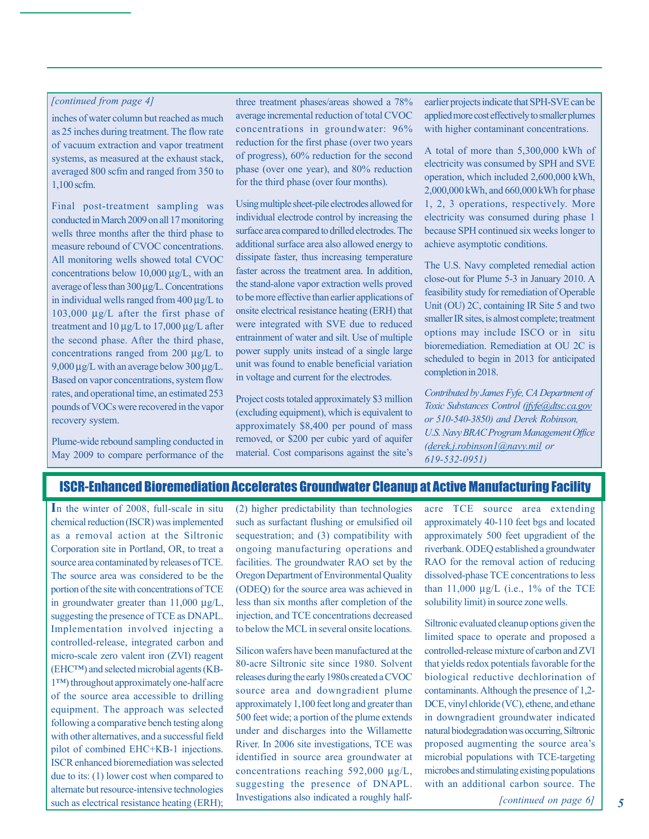## *[continued from page 4]*

inches of water column but reached as much as 25 inches during treatment. The flow rate of vacuum extraction and vapor treatment systems, as measured at the exhaust stack, averaged 800 scfm and ranged from 350 to 1,100 scfm.

Final post-treatment sampling was conducted in March 2009 on all 17 monitoring wells three months after the third phase to measure rebound of CVOC concentrations. All monitoring wells showed total CVOC concentrations below 10,000 μg/L, with an average of less than 300 μg/L. Concentrations in individual wells ranged from 400 μg/L to 103,000 μg/L after the first phase of treatment and  $10 \mu g/L$  to  $17,000 \mu g/L$  after the second phase. After the third phase, concentrations ranged from 200 μg/L to 9,000 μg/L with an average below 300 μg/L. Based on vapor concentrations, system flow rates, and operational time, an estimated 253 pounds of VOCs were recovered in the vapor recovery system.

Plume-wide rebound sampling conducted in May 2009 to compare performance of the three treatment phases/areas showed a 78% average incremental reduction of total CVOC concentrations in groundwater: 96% reduction for the first phase (over two years of progress), 60% reduction for the second phase (over one year), and 80% reduction for the third phase (over four months).

Using multiple sheet-pile electrodes allowed for individual electrode control by increasing the surface area compared to drilled electrodes. The additional surface area also allowed energy to dissipate faster, thus increasing temperature faster across the treatment area. In addition, the stand-alone vapor extraction wells proved to be more effective than earlier applications of onsite electrical resistance heating (ERH) that were integrated with SVE due to reduced entrainment of water and silt. Use of multiple power supply units instead of a single large unit was found to enable beneficial variation in voltage and current for the electrodes.

Project costs totaled approximately \$3 million (excluding equipment), which is equivalent to approximately \$8,400 per pound of mass removed, or \$200 per cubic yard of aquifer material. Cost comparisons against the site's earlier projects indicate that SPH-SVE can be applied more cost effectively to smaller plumes with higher contaminant concentrations.

A total of more than 5,300,000 kWh of electricity was consumed by SPH and SVE operation, which included 2,600,000 kWh, 2,000,000 kWh, and 660,000 kWh for phase 1, 2, 3 operations, respectively. More electricity was consumed during phase 1 because SPH continued six weeks longer to achieve asymptotic conditions.

The U.S. Navy completed remedial action close-out for Plume 5-3 in January 2010. A feasibility study for remediation of Operable Unit (OU) 2C, containing IR Site 5 and two smaller IR sites, is almost complete; treatment options may include ISCO or in situ bioremediation. Remediation at OU 2C is scheduled to begin in 2013 for anticipated completion in 2018.

*Contributed by James Fyfe, CA Department of Toxic Substances Control [\(jfyfe@dtsc.ca.gov](mailto:jfyfe@dtsc.ca.gov)  or 510-540-3850) and Derek Robinson, U.S. Navy BRAC Program Management Office [\(derek.j.robinson1@navy.mil](mailto:derek.j.robinson1@navy.mil) or 619-532-0951)* 

# ISCR-Enhanced Bioremediation Accelerates Groundwater Cleanup at Active Manufacturing Facility

**I**n the winter of 2008, full-scale in situ chemical reduction (ISCR) was implemented as a removal action at the Siltronic Corporation site in Portland, OR, to treat a source area contaminated by releases of TCE. The source area was considered to be the portion of the site with concentrations of TCE in groundwater greater than 11,000 μg/L, suggesting the presence of TCE as DNAPL. Implementation involved injecting a controlled-release, integrated carbon and micro-scale zero valent iron (ZVI) reagent (EHC™) and selected microbial agents (KB-1™) throughout approximately one-half acre of the source area accessible to drilling equipment. The approach was selected following a comparative bench testing along with other alternatives, and a successful field pilot of combined EHC+KB-1 injections. ISCR enhanced bioremediation was selected due to its: (1) lower cost when compared to alternate but resource-intensive technologies such as electrical resistance heating (ERH);

(2) higher predictability than technologies such as surfactant flushing or emulsified oil sequestration; and (3) compatibility with ongoing manufacturing operations and facilities. The groundwater RAO set by the Oregon Department of Environmental Quality (ODEQ) for the source area was achieved in less than six months after completion of the injection, and TCE concentrations decreased to below the MCL in several onsite locations.

Silicon wafers have been manufactured at the 80-acre Siltronic site since 1980. Solvent releases during the early 1980s created a CVOC source area and downgradient plume approximately 1,100 feet long and greater than 500 feet wide; a portion of the plume extends under and discharges into the Willamette River. In 2006 site investigations, TCE was identified in source area groundwater at concentrations reaching 592,000 μg/L, suggesting the presence of DNAPL. Investigations also indicated a roughly half-<br> *[continued on page 6]* 

acre TCE source area extending approximately 40-110 feet bgs and located approximately 500 feet upgradient of the riverbank. ODEQ established a groundwater RAO for the removal action of reducing dissolved-phase TCE concentrations to less than  $11,000 \mu g/L$  (i.e., 1% of the TCE solubility limit) in source zone wells.

Siltronic evaluated cleanup options given the limited space to operate and proposed a controlled-release mixture of carbon and ZVI that yields redox potentials favorable for the biological reductive dechlorination of contaminants. Although the presence of 1,2 DCE, vinyl chloride (VC), ethene, and ethane in downgradient groundwater indicated natural biodegradation was occurring, Siltronic proposed augmenting the source area's microbial populations with TCE-targeting microbes and stimulating existing populations with an additional carbon source. The

*5*